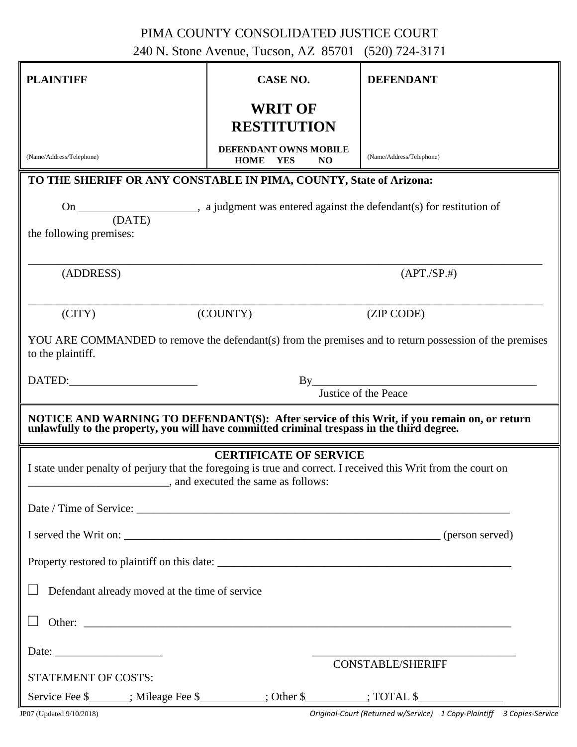## PIMA COUNTY CONSOLIDATED JUSTICE COURT

240 N. Stone Avenue, Tucson, AZ 85701 (520) 724-3171

| <b>PLAINTIFF</b>                                                                                                                                                                                                               | CASE NO.                                                   | <b>DEFENDANT</b>         |  |  |
|--------------------------------------------------------------------------------------------------------------------------------------------------------------------------------------------------------------------------------|------------------------------------------------------------|--------------------------|--|--|
|                                                                                                                                                                                                                                | <b>WRIT OF</b><br><b>RESTITUTION</b>                       |                          |  |  |
| (Name/Address/Telephone)                                                                                                                                                                                                       | DEFENDANT OWNS MOBILE<br><b>HOME</b> YES<br>N <sub>O</sub> | (Name/Address/Telephone) |  |  |
| TO THE SHERIFF OR ANY CONSTABLE IN PIMA, COUNTY, State of Arizona:                                                                                                                                                             |                                                            |                          |  |  |
|                                                                                                                                                                                                                                |                                                            |                          |  |  |
| the following premises:                                                                                                                                                                                                        |                                                            |                          |  |  |
| (ADDRESS)                                                                                                                                                                                                                      |                                                            | (APT./SP.#)              |  |  |
| (CITY)                                                                                                                                                                                                                         | (COUNTY)                                                   | (ZIP CODE)               |  |  |
| YOU ARE COMMANDED to remove the defendant(s) from the premises and to return possession of the premises<br>to the plaintiff.                                                                                                   |                                                            |                          |  |  |
| DATED: University of the set of the set of the set of the set of the set of the set of the set of the set of the set of the set of the set of the set of the set of the set of the set of the set of the set of the set of the | By                                                         |                          |  |  |
| Justice of the Peace                                                                                                                                                                                                           |                                                            |                          |  |  |
| NOTICE AND WARNING TO DEFENDANT(S): After service of this Writ, if you remain on, or return unlawfully to the property, you will have committed criminal trespass in the third degree.                                         |                                                            |                          |  |  |
| <b>CERTIFICATE OF SERVICE</b><br>I state under penalty of perjury that the foregoing is true and correct. I received this Writ from the court on<br>_, and executed the same as follows:                                       |                                                            |                          |  |  |
|                                                                                                                                                                                                                                |                                                            |                          |  |  |
|                                                                                                                                                                                                                                |                                                            |                          |  |  |
|                                                                                                                                                                                                                                |                                                            |                          |  |  |
| Defendant already moved at the time of service                                                                                                                                                                                 |                                                            |                          |  |  |
| Other: example and the contract of the contract of the contract of the contract of the contract of the contract of the contract of the contract of the contract of the contract of the contract of the contract of the contrac |                                                            |                          |  |  |
|                                                                                                                                                                                                                                |                                                            |                          |  |  |
| <b>CONSTABLE/SHERIFF</b><br><b>STATEMENT OF COSTS:</b>                                                                                                                                                                         |                                                            |                          |  |  |
| Service Fee \$_______; Mileage Fee \$__________; Other \$_________; TOTAL \$_________                                                                                                                                          |                                                            |                          |  |  |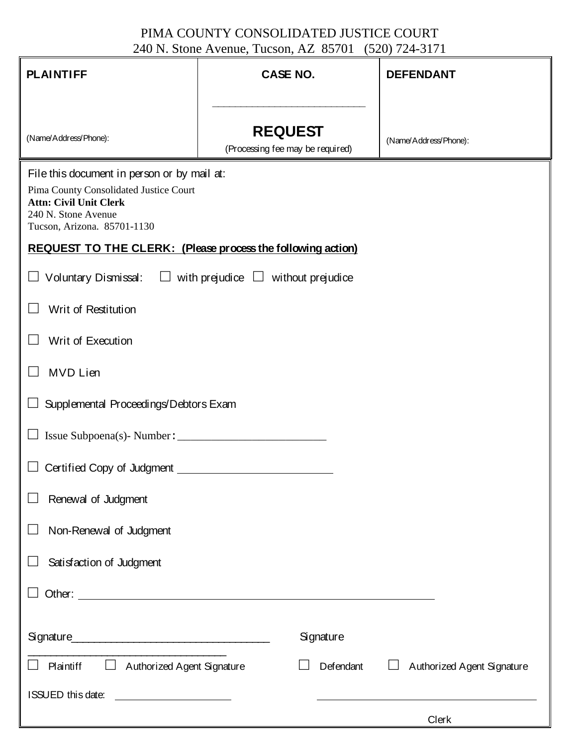## PIMA COUNTY CONSOLIDATED JUSTICE COURT 240 N. Stone Avenue, Tucson, AZ 85701 (520) 724-3171

| <b>PLAINTIFF</b>                                                                                                                                                             | <b>CASE NO.</b>                  | <b>DEFENDANT</b>           |  |
|------------------------------------------------------------------------------------------------------------------------------------------------------------------------------|----------------------------------|----------------------------|--|
|                                                                                                                                                                              | <b>REQUEST</b>                   |                            |  |
| (Name/Address/Phone):                                                                                                                                                        | (Processing fee may be required) | (Name/Address/Phone):      |  |
| File this document in person or by mail at:<br>Pima County Consolidated Justice Court<br><b>Attn: Civil Unit Clerk</b><br>240 N. Stone Avenue<br>Tucson, Arizona. 85701-1130 |                                  |                            |  |
| REQUEST TO THE CLERK: (Please process the following action)                                                                                                                  |                                  |                            |  |
| $\Box$ Voluntary Dismissal: $\Box$ with prejudice $\Box$ without prejudice                                                                                                   |                                  |                            |  |
| Writ of Restitution                                                                                                                                                          |                                  |                            |  |
| Writ of Execution                                                                                                                                                            |                                  |                            |  |
| MVD Lien                                                                                                                                                                     |                                  |                            |  |
| Supplemental Proceedings/Debtors Exam                                                                                                                                        |                                  |                            |  |
| Issue Subpoena(s)- Number:                                                                                                                                                   |                                  |                            |  |
| Certified Copy of Judgment                                                                                                                                                   |                                  |                            |  |
| Renewal of Judgment                                                                                                                                                          |                                  |                            |  |
| Non-Renewal of Judgment                                                                                                                                                      |                                  |                            |  |
| Satisfaction of Judgment                                                                                                                                                     |                                  |                            |  |
|                                                                                                                                                                              |                                  |                            |  |
|                                                                                                                                                                              |                                  |                            |  |
|                                                                                                                                                                              | Signature                        |                            |  |
| $\mathcal{L}_{\mathcal{A}}$<br>Authorized Agent Signature<br>Plaintiff                                                                                                       | Defendant                        | Authorized Agent Signature |  |
| ISSUED this date:<br><u> 1980 - Jan Stein Stein Stein Stein Stein Stein Stein Stein Stein Stein Stein Stein Stein Stein Stein Stein S</u>                                    |                                  |                            |  |
|                                                                                                                                                                              |                                  | Clerk                      |  |